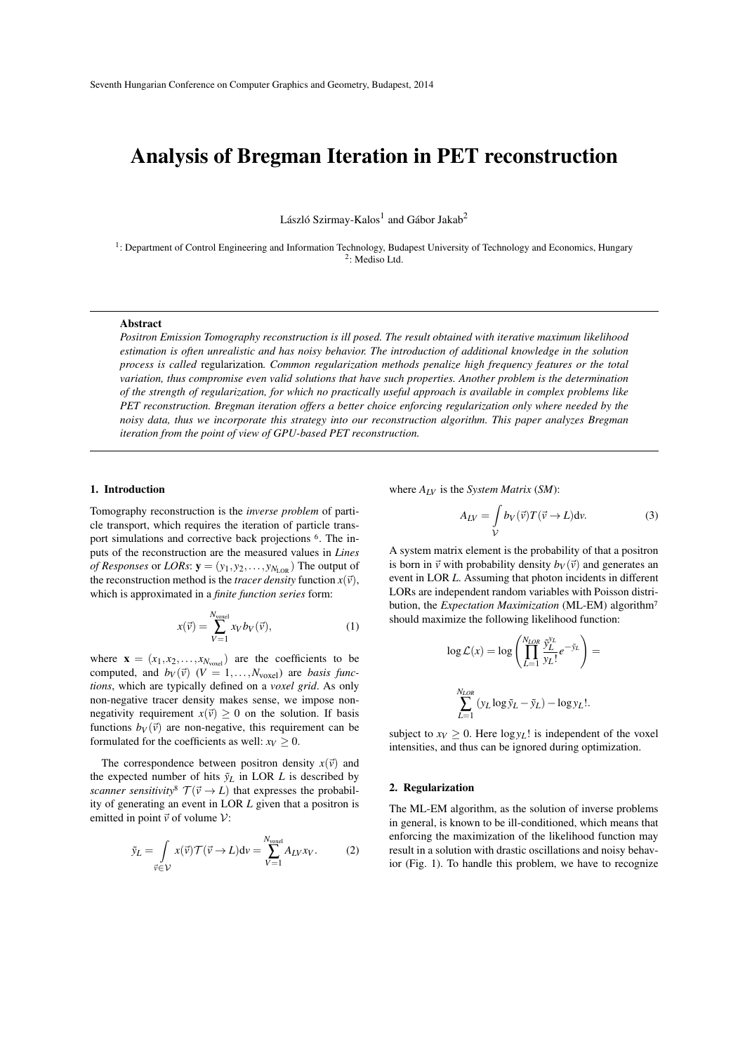# Analysis of Bregman Iteration in PET reconstruction

László Szirmay-Kalos<sup>1</sup> and Gábor Jakab<sup>2</sup>

<sup>1</sup>: Department of Control Engineering and Information Technology, Budapest University of Technology and Economics, Hungary 2 : Mediso Ltd.

## Abstract

*Positron Emission Tomography reconstruction is ill posed. The result obtained with iterative maximum likelihood estimation is often unrealistic and has noisy behavior. The introduction of additional knowledge in the solution process is called* regularization*. Common regularization methods penalize high frequency features or the total variation, thus compromise even valid solutions that have such properties. Another problem is the determination of the strength of regularization, for which no practically useful approach is available in complex problems like PET reconstruction. Bregman iteration offers a better choice enforcing regularization only where needed by the noisy data, thus we incorporate this strategy into our reconstruction algorithm. This paper analyzes Bregman iteration from the point of view of GPU-based PET reconstruction.*

# 1. Introduction

Tomography reconstruction is the *inverse problem* of particle transport, which requires the iteration of particle transport simulations and corrective back projections <sup>6</sup> . The inputs of the reconstruction are the measured values in *Lines of Responses* or *LORs*:  $\mathbf{y} = (y_1, y_2, \dots, y_{N_{\text{LOR}}})$  The output of the reconstruction method is the *tracer density* function  $x(\vec{v})$ , which is approximated in a *finite function series* form:

$$
x(\vec{v}) = \sum_{V=1}^{N_{\text{voxel}}} x_V b_V(\vec{v}), \tag{1}
$$

where  $\mathbf{x} = (x_1, x_2, \dots, x_{N_{\text{voxel}}})$  are the coefficients to be computed, and  $b_V(\vec{v})$  ( $V = 1, \ldots, N_{\text{voxel}}$ ) are *basis functions*, which are typically defined on a *voxel grid*. As only non-negative tracer density makes sense, we impose nonnegativity requirement  $x(\vec{v}) \geq 0$  on the solution. If basis functions  $b_V(\vec{v})$  are non-negative, this requirement can be formulated for the coefficients as well:  $x_V > 0$ .

The correspondence between positron density  $x(\vec{v})$  and the expected number of hits  $\tilde{y}_L$  in LOR *L* is described by *scanner sensitivity*<sup>8</sup>  $\mathcal{T}(\vec{v} \to L)$  that expresses the probability of generating an event in LOR *L* given that a positron is emitted in point  $\vec{v}$  of volume  $V$ :

$$
\tilde{y}_L = \int\limits_{\vec{v} \in \mathcal{V}} x(\vec{v}) \mathcal{T}(\vec{v} \to L) \mathrm{d}v = \sum_{V=1}^{N_{\text{voxel}}} A_{LV} x_V. \tag{2}
$$

where *ALV* is the *System Matrix* (*SM*):

$$
A_{LV} = \int\limits_{V} b_V(\vec{v}) T(\vec{v} \to L) \text{d}v. \tag{3}
$$

A system matrix element is the probability of that a positron is born in  $\vec{v}$  with probability density  $b_V(\vec{v})$  and generates an event in LOR *L*. Assuming that photon incidents in different LORs are independent random variables with Poisson distribution, the *Expectation Maximization* (ML-EM) algorithm<sup>7</sup> should maximize the following likelihood function:

$$
\log \mathcal{L}(x) = \log \left( \prod_{L=1}^{N_{LOR}} \frac{\tilde{y}_L^{y_L}}{y_L!} e^{-\tilde{y}_L} \right) =
$$

$$
\sum_{L=1}^{N_{LOR}} (y_L \log \tilde{y}_L - \tilde{y}_L) - \log y_L!.
$$

subject to  $xy \geq 0$ . Here  $\log y_L$ ! is independent of the voxel intensities, and thus can be ignored during optimization.

### 2. Regularization

The ML-EM algorithm, as the solution of inverse problems in general, is known to be ill-conditioned, which means that enforcing the maximization of the likelihood function may result in a solution with drastic oscillations and noisy behavior (Fig. 1). To handle this problem, we have to recognize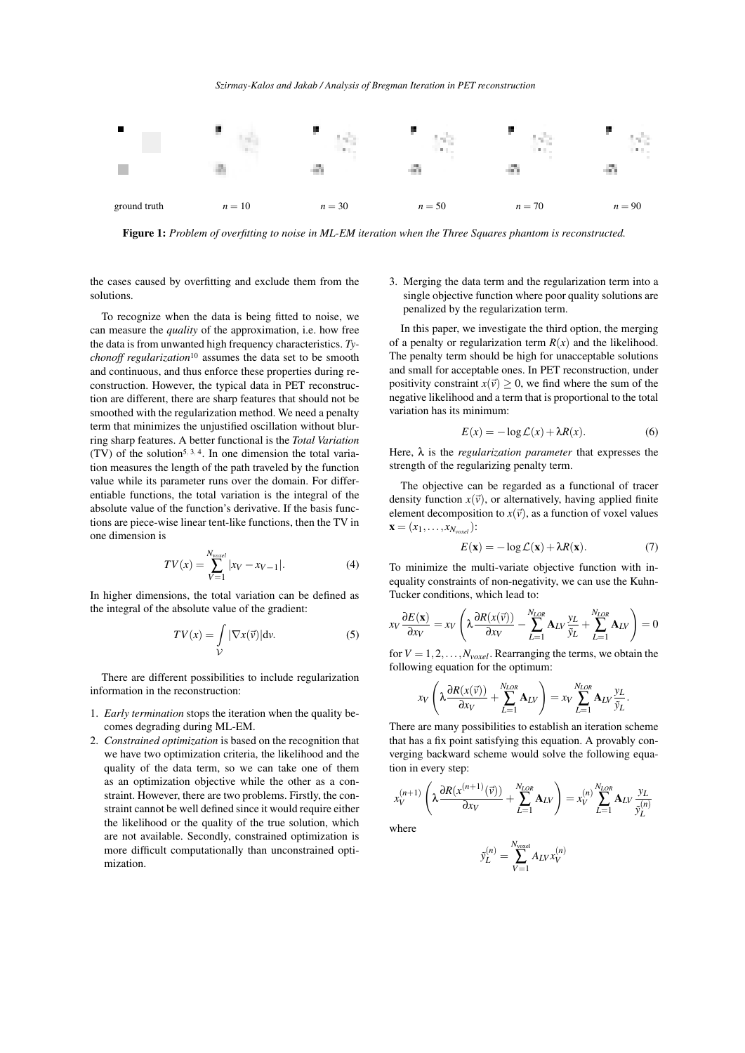

Figure 1: *Problem of overfitting to noise in ML-EM iteration when the Three Squares phantom is reconstructed.*

the cases caused by overfitting and exclude them from the solutions.

To recognize when the data is being fitted to noise, we can measure the *quality* of the approximation, i.e. how free the data is from unwanted high frequency characteristics. *Tychonoff regularization*<sup>10</sup> assumes the data set to be smooth and continuous, and thus enforce these properties during reconstruction. However, the typical data in PET reconstruction are different, there are sharp features that should not be smoothed with the regularization method. We need a penalty term that minimizes the unjustified oscillation without blurring sharp features. A better functional is the *Total Variation*  $(TV)$  of the solution<sup>5, 3, 4</sup>. In one dimension the total variation measures the length of the path traveled by the function value while its parameter runs over the domain. For differentiable functions, the total variation is the integral of the absolute value of the function's derivative. If the basis functions are piece-wise linear tent-like functions, then the TV in one dimension is

$$
TV(x) = \sum_{V=1}^{N_{vset}} |x_V - x_{V-1}|.
$$
 (4)

In higher dimensions, the total variation can be defined as the integral of the absolute value of the gradient:

$$
TV(x) = \int\limits_{V} |\nabla x(\vec{v})| \, \mathrm{d}v. \tag{5}
$$

There are different possibilities to include regularization information in the reconstruction:

- 1. *Early termination* stops the iteration when the quality becomes degrading during ML-EM.
- 2. *Constrained optimization* is based on the recognition that we have two optimization criteria, the likelihood and the quality of the data term, so we can take one of them as an optimization objective while the other as a constraint. However, there are two problems. Firstly, the constraint cannot be well defined since it would require either the likelihood or the quality of the true solution, which are not available. Secondly, constrained optimization is more difficult computationally than unconstrained optimization.

3. Merging the data term and the regularization term into a single objective function where poor quality solutions are penalized by the regularization term.

In this paper, we investigate the third option, the merging of a penalty or regularization term  $R(x)$  and the likelihood. The penalty term should be high for unacceptable solutions and small for acceptable ones. In PET reconstruction, under positivity constraint  $x(\vec{v}) \ge 0$ , we find where the sum of the negative likelihood and a term that is proportional to the total variation has its minimum:

$$
E(x) = -\log \mathcal{L}(x) + \lambda R(x). \tag{6}
$$

Here, λ is the *regularization parameter* that expresses the strength of the regularizing penalty term.

The objective can be regarded as a functional of tracer density function  $x(\vec{v})$ , or alternatively, having applied finite element decomposition to  $x(\vec{v})$ , as a function of voxel values  $$ 

$$
E(\mathbf{x}) = -\log \mathcal{L}(\mathbf{x}) + \lambda R(\mathbf{x}).
$$
 (7)

To minimize the multi-variate objective function with inequality constraints of non-negativity, we can use the Kuhn-Tucker conditions, which lead to:

$$
x_V \frac{\partial E(\mathbf{x})}{\partial x_V} = x_V \left( \lambda \frac{\partial R(x(\vec{v}))}{\partial x_V} - \sum_{L=1}^{N_{LOR}} \mathbf{A}_{LV} \frac{y_L}{\tilde{y}_L} + \sum_{L=1}^{N_{LOR}} \mathbf{A}_{LV} \right) = 0
$$

for  $V = 1, 2, \ldots, N_{voxel}$ . Rearranging the terms, we obtain the following equation for the optimum:

$$
x_V\left(\lambda \frac{\partial R(x(\vec{v}))}{\partial x_V} + \sum_{L=1}^{N_{LOR}} \mathbf{A}_{LV}\right) = x_V \sum_{L=1}^{N_{LOR}} \mathbf{A}_{LV} \frac{y_L}{\tilde{y}_L}.
$$

There are many possibilities to establish an iteration scheme that has a fix point satisfying this equation. A provably converging backward scheme would solve the following equation in every step:

$$
x_V^{(n+1)}\left(\lambda \frac{\partial R(x^{(n+1)}(\vec{v}))}{\partial x_V} + \sum_{L=1}^{N_{LOR}} \mathbf{A}_{LV}\right) = x_V^{(n)} \sum_{L=1}^{N_{LOR}} \mathbf{A}_{LV} \frac{y_L}{\tilde{y}_L^{(n)}}
$$

where

$$
\tilde{\mathbf{y}}_L^{(n)} = \sum_{V=1}^{N_{\rm voxel}} A_{LV} \mathbf{x}_V^{(n)}
$$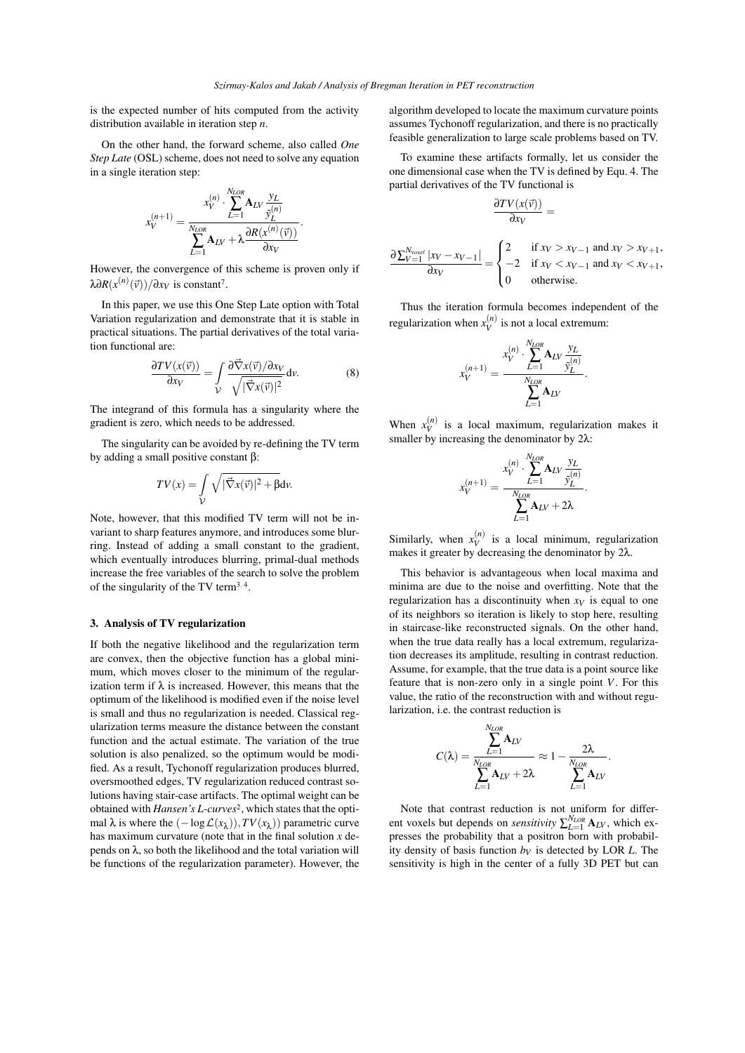is the expected number of hits computed from the activity distribution available in iteration step *n*.

On the other hand, the forward scheme, also called *One Step Late* (OSL) scheme, does not need to solve any equation in a single iteration step:

$$
x_V^{(n+1)} = \frac{x_V^{(n)} \cdot \sum_{L=1}^{N_{LOS}} \mathbf{A}_{LV} \frac{y_L}{\hat{y}_L^{(n)}}}{\sum_{L=1}^{N_{LOS}} \mathbf{A}_{LV} + \lambda \frac{\partial R(x^{(n)}(\vec{v}))}{\partial x_V}}.
$$

However, the convergence of this scheme is proven only if  $\lambda \partial R(x^{(n)}(\vec{v})) / \partial x_V$  is constant<sup>7</sup>.

In this paper, we use this One Step Late option with Total Variation regularization and demonstrate that it is stable in practical situations. The partial derivatives of the total variation functional are:

$$
\frac{\partial TV(x(\vec{v}))}{\partial x_V} = \int\limits_V \frac{\partial \vec{\nabla} x(\vec{v}) / \partial x_V}{\sqrt{|\vec{\nabla} x(\vec{v})|^2}} dv.
$$
 (8)

The integrand of this formula has a singularity where the gradient is zero, which needs to be addressed.

The singularity can be avoided by re-defining the TV term by adding a small positive constant β:

$$
TV(x) = \int\limits_{\mathcal{V}} \sqrt{|\vec{\nabla}x(\vec{v})|^2 + \beta} \, \mathrm{d}v.
$$

Note, however, that this modified TV term will not be invariant to sharp features anymore, and introduces some blurring. Instead of adding a small constant to the gradient, which eventually introduces blurring, primal-dual methods increase the free variables of the search to solve the problem of the singularity of the TV term<sup>3</sup>*,* <sup>4</sup> .

## 3. Analysis of TV regularization

If both the negative likelihood and the regularization term are convex, then the objective function has a global minimum, which moves closer to the minimum of the regularization term if  $\lambda$  is increased. However, this means that the optimum of the likelihood is modified even if the noise level is small and thus no regularization is needed. Classical regularization terms measure the distance between the constant function and the actual estimate. The variation of the true solution is also penalized, so the optimum would be modified. As a result, Tychonoff regularization produces blurred, oversmoothed edges, TV regularization reduced contrast solutions having stair-case artifacts. The optimal weight can be obtained with *Hansen's L-curves*<sup>2</sup> , which states that the optimal  $\lambda$  is where the  $(-\log \mathcal{L}(x_{\lambda})), TV(x_{\lambda}))$  parametric curve has maximum curvature (note that in the final solution *x* depends on  $\lambda$ , so both the likelihood and the total variation will be functions of the regularization parameter). However, the algorithm developed to locate the maximum curvature points assumes Tychonoff regularization, and there is no practically feasible generalization to large scale problems based on TV.

To examine these artifacts formally, let us consider the one dimensional case when the TV is defined by Equ. 4. The partial derivatives of the TV functional is

$$
\frac{\partial TV(x(\vec{v}))}{\partial x_V} =
$$

$$
\frac{\partial \sum_{V=1}^{N_{voxel}} |x_V - x_{V-1}|}{\partial x_V} = \begin{cases} 2 & \text{if } x_V > x_{V-1} \text{ and } x_V > x_{V+1}, \\ -2 & \text{if } x_V < x_{V-1} \text{ and } x_V < x_{V+1}, \\ 0 & \text{otherwise.} \end{cases}
$$

Thus the iteration formula becomes independent of the regularization when  $x_V^{(n)}$  is not a local extremum:

$$
x_V^{(n+1)} = \frac{x_V^{(n)} \cdot \sum_{L=1}^{N_{LOR}} A_{LV} \frac{y_L}{\tilde{y}_L^{(n)}}}{\sum_{L=1}^{N_{LOR}} A_{LV}}.
$$

When  $x_V^{(n)}$  is a local maximum, regularization makes it smaller by increasing the denominator by  $2\lambda$ :

$$
x_V^{(n+1)} = \frac{x_V^{(n)} \cdot \sum_{L=1}^{N_{LOR}} A_{LV} \frac{y_L}{\hat{y}_L^{(n)}}}{\sum_{L=1}^{N_{LOR}} A_{LV} + 2\lambda}.
$$

Similarly, when  $x_V^{(n)}$  is a local minimum, regularization makes it greater by decreasing the denominator by 2λ.

This behavior is advantageous when local maxima and minima are due to the noise and overfitting. Note that the regularization has a discontinuity when  $x_V$  is equal to one of its neighbors so iteration is likely to stop here, resulting in staircase-like reconstructed signals. On the other hand, when the true data really has a local extremum, regularization decreases its amplitude, resulting in contrast reduction. Assume, for example, that the true data is a point source like feature that is non-zero only in a single point *V*. For this value, the ratio of the reconstruction with and without regularization, i.e. the contrast reduction is

$$
C(\lambda) = \frac{\sum_{L=1}^{N_{LOR}} A_{LV}}{\sum_{L=1}^{N_{LOR}} A_{LV} + 2\lambda} \approx 1 - \frac{2\lambda}{\sum_{L=1}^{N_{LOR}} A_{LV}}.
$$

Note that contrast reduction is not uniform for different voxels but depends on *sensitivity*  $\sum_{L=1}^{N_{LOR}}$  **A**<sub>*LV*</sub>, which expresses the probability that a positron born with probability density of basis function  $b_V$  is detected by LOR *L*. The sensitivity is high in the center of a fully 3D PET but can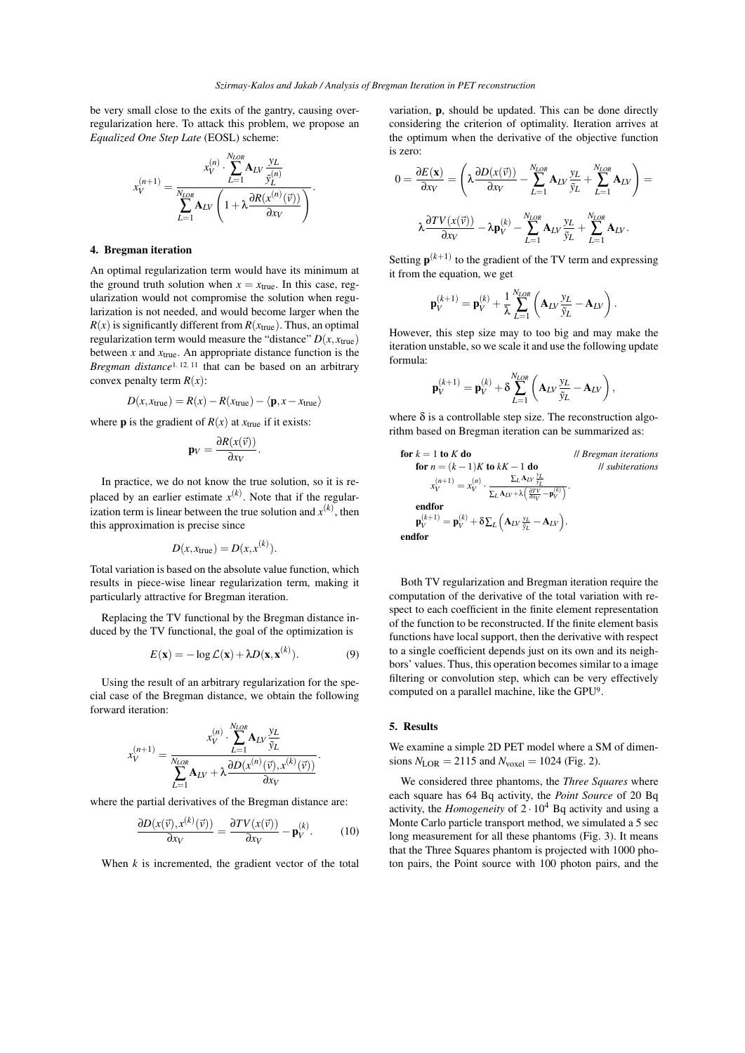be very small close to the exits of the gantry, causing overregularization here. To attack this problem, we propose an *Equalized One Step Late* (EOSL) scheme:

$$
x_V^{(n+1)} = \frac{x_V^{(n)} \cdot \sum_{L=1}^{N_{LOS}} A_{LV} \frac{y_L}{\tilde{y}_L^{(n)}}}{\sum_{L=1}^{N_{LOS}} A_{LV} \left(1 + \lambda \frac{\partial R(x^{(n)}(\vec{v}))}{\partial x_V}\right)}.
$$

## 4. Bregman iteration

An optimal regularization term would have its minimum at the ground truth solution when  $x = x_{true}$ . In this case, regularization would not compromise the solution when regularization is not needed, and would become larger when the  $R(x)$  is significantly different from  $R(x_{true})$ . Thus, an optimal regularization term would measure the "distance"  $D(x, x_{true})$ between *x* and *x*true. An appropriate distance function is the *Bregman distance*<sup>1, 12, <sup>11</sup> that can be based on an arbitrary</sup> convex penalty term  $R(x)$ :

$$
D(x, x_{true}) = R(x) - R(x_{true}) - \langle \mathbf{p}, x - x_{true} \rangle
$$

where **p** is the gradient of  $R(x)$  at  $x_{true}$  if it exists:

$$
\mathbf{p}_V = \frac{\partial R(x(\vec{v}))}{\partial x_V}.
$$

In practice, we do not know the true solution, so it is replaced by an earlier estimate  $x^{(k)}$ . Note that if the regularization term is linear between the true solution and  $x^{(k)}$ , then this approximation is precise since

$$
D(x, x_{true}) = D(x, x^{(k)}).
$$

Total variation is based on the absolute value function, which results in piece-wise linear regularization term, making it particularly attractive for Bregman iteration.

Replacing the TV functional by the Bregman distance induced by the TV functional, the goal of the optimization is

$$
E(\mathbf{x}) = -\log \mathcal{L}(\mathbf{x}) + \lambda D(\mathbf{x}, \mathbf{x}^{(k)}).
$$
 (9)

Using the result of an arbitrary regularization for the special case of the Bregman distance, we obtain the following forward iteration:

$$
x_V^{(n+1)} = \frac{x_V^{(n)} \cdot \sum_{L=1}^{N_{LOR}} A_{LV} \frac{y_L}{\tilde{y}_L}}{\sum_{L=1}^{N_{LOR}} A_{LV} + \lambda \frac{\partial D(x^{(n)}(\vec{v}), x^{(k)}(\vec{v}))}{\partial x_V}}.
$$

where the partial derivatives of the Bregman distance are:

$$
\frac{\partial D(x(\vec{v}), x^{(k)}(\vec{v}))}{\partial x_V} = \frac{\partial TV(x(\vec{v}))}{\partial x_V} - \mathbf{p}_V^{(k)}.
$$
 (10)

When  $k$  is incremented, the gradient vector of the total

variation, p, should be updated. This can be done directly considering the criterion of optimality. Iteration arrives at the optimum when the derivative of the objective function is zero:

$$
0 = \frac{\partial E(\mathbf{x})}{\partial x_V} = \left(\lambda \frac{\partial D(x(\vec{v}))}{\partial x_V} - \sum_{L=1}^{N_{LOR}} \mathbf{A}_{LV} \frac{y_L}{\tilde{y}_L} + \sum_{L=1}^{N_{LOR}} \mathbf{A}_{LV}\right) =
$$

$$
\lambda \frac{\partial TV(x(\vec{v}))}{\partial x_V} - \lambda \mathbf{p}_V^{(k)} - \sum_{L=1}^{N_{LOR}} \mathbf{A}_{LV} \frac{y_L}{\tilde{y}_L} + \sum_{L=1}^{N_{LOR}} \mathbf{A}_{LV}.
$$

Setting  $\mathbf{p}^{(k+1)}$  to the gradient of the TV term and expressing it from the equation, we get

$$
\mathbf{p}_V^{(k+1)} = \mathbf{p}_V^{(k)} + \frac{1}{\lambda} \sum_{L=1}^{N_{LOR}} \left( \mathbf{A}_{LV} \frac{y_L}{\tilde{y}_L} - \mathbf{A}_{LV} \right).
$$

However, this step size may to too big and may make the iteration unstable, so we scale it and use the following update formula:

$$
\mathbf{p}_V^{(k+1)} = \mathbf{p}_V^{(k)} + \delta \sum_{L=1}^{N_{LOR}} \left( \mathbf{A}_{LV} \frac{y_L}{\tilde{y}_L} - \mathbf{A}_{LV} \right),
$$

where  $\delta$  is a controllable step size. The reconstruction algorithm based on Bregman iteration can be summarized as:

**for** 
$$
k = 1
$$
 **to**  $K$  **do**  $||$  *Bregman iterations*  
\n**for**  $n = (k - 1)K$  **to**  $kK - 1$  **do**  $||$  *subiterations*  
\n
$$
x_V^{(n+1)} = x_V^{(n)} \cdot \frac{\sum_L A_{LV} \frac{\gamma_L}{\hat{y}_L}}{\sum_L A_{LV} + \lambda \left(\frac{\partial TV}{\partial x_V} - \mathbf{p}_V^{(k)}\right)}.
$$
\n**endfor**  
\n $\mathbf{p}_V^{(k+1)} = \mathbf{p}_V^{(k)} + \delta \sum_L \left(\mathbf{A}_{LV} \frac{\gamma_L}{\hat{y}_L} - \mathbf{A}_{LV}\right).$   
\n**endfor**

Both TV regularization and Bregman iteration require the computation of the derivative of the total variation with respect to each coefficient in the finite element representation of the function to be reconstructed. If the finite element basis functions have local support, then the derivative with respect to a single coefficient depends just on its own and its neighbors' values. Thus, this operation becomes similar to a image filtering or convolution step, which can be very effectively computed on a parallel machine, like the GPU<sup>9</sup> .

## 5. Results

We examine a simple 2D PET model where a SM of dimensions  $N_{\text{LOR}} = 2115$  and  $N_{\text{voxel}} = 1024$  (Fig. 2).

We considered three phantoms, the *Three Squares* where each square has 64 Bq activity, the *Point Source* of 20 Bq activity, the *Homogeneity* of  $2 \cdot 10^4$  Bq activity and using a Monte Carlo particle transport method, we simulated a 5 sec long measurement for all these phantoms (Fig. 3). It means that the Three Squares phantom is projected with 1000 photon pairs, the Point source with 100 photon pairs, and the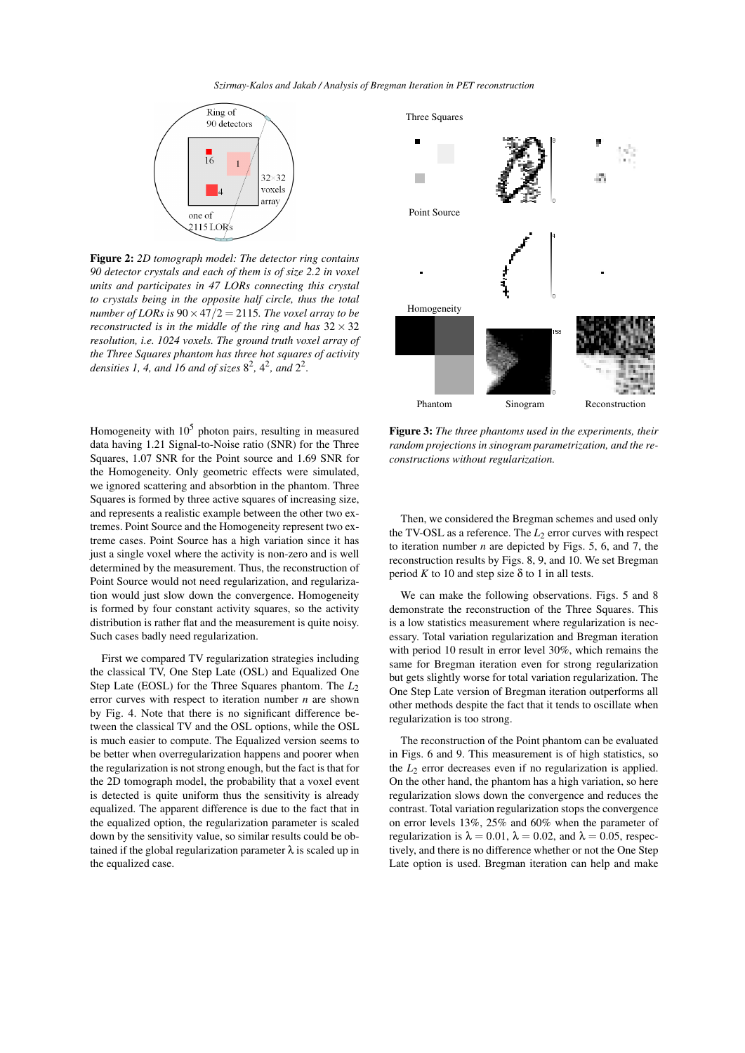#### *Szirmay-Kalos and Jakab / Analysis of Bregman Iteration in PET reconstruction*



Figure 2: *2D tomograph model: The detector ring contains 90 detector crystals and each of them is of size 2.2 in voxel units and participates in 47 LORs connecting this crystal to crystals being in the opposite half circle, thus the total number of LORs is* 90*×*47*/*2 = 2115*. The voxel array to be reconstructed is in the middle of the ring and has*  $32 \times 32$ *resolution, i.e. 1024 voxels. The ground truth voxel array of the Three Squares phantom has three hot squares of activity densities 1, 4, and 16 and of sizes*  $8^2$ ,  $4^2$ *, and*  $2^2$ *.* 

Homogeneity with  $10<sup>5</sup>$  photon pairs, resulting in measured data having 1.21 Signal-to-Noise ratio (SNR) for the Three Squares, 1.07 SNR for the Point source and 1.69 SNR for the Homogeneity. Only geometric effects were simulated, we ignored scattering and absorbtion in the phantom. Three Squares is formed by three active squares of increasing size, and represents a realistic example between the other two extremes. Point Source and the Homogeneity represent two extreme cases. Point Source has a high variation since it has just a single voxel where the activity is non-zero and is well determined by the measurement. Thus, the reconstruction of Point Source would not need regularization, and regularization would just slow down the convergence. Homogeneity is formed by four constant activity squares, so the activity distribution is rather flat and the measurement is quite noisy. Such cases badly need regularization.

First we compared TV regularization strategies including the classical TV, One Step Late (OSL) and Equalized One Step Late (EOSL) for the Three Squares phantom. The *L*<sup>2</sup> error curves with respect to iteration number *n* are shown by Fig. 4. Note that there is no significant difference between the classical TV and the OSL options, while the OSL is much easier to compute. The Equalized version seems to be better when overregularization happens and poorer when the regularization is not strong enough, but the fact is that for the 2D tomograph model, the probability that a voxel event is detected is quite uniform thus the sensitivity is already equalized. The apparent difference is due to the fact that in the equalized option, the regularization parameter is scaled down by the sensitivity value, so similar results could be obtained if the global regularization parameter  $\lambda$  is scaled up in the equalized case.



Figure 3: *The three phantoms used in the experiments, their random projections in sinogram parametrization, and the reconstructions without regularization.*

Then, we considered the Bregman schemes and used only the TV-OSL as a reference. The  $L_2$  error curves with respect to iteration number *n* are depicted by Figs. 5, 6, and 7, the reconstruction results by Figs. 8, 9, and 10. We set Bregman period  $K$  to 10 and step size  $\delta$  to 1 in all tests.

We can make the following observations. Figs. 5 and 8 demonstrate the reconstruction of the Three Squares. This is a low statistics measurement where regularization is necessary. Total variation regularization and Bregman iteration with period 10 result in error level 30%, which remains the same for Bregman iteration even for strong regularization but gets slightly worse for total variation regularization. The One Step Late version of Bregman iteration outperforms all other methods despite the fact that it tends to oscillate when regularization is too strong.

The reconstruction of the Point phantom can be evaluated in Figs. 6 and 9. This measurement is of high statistics, so the  $L_2$  error decreases even if no regularization is applied. On the other hand, the phantom has a high variation, so here regularization slows down the convergence and reduces the contrast. Total variation regularization stops the convergence on error levels 13%, 25% and 60% when the parameter of regularization is  $\lambda = 0.01$ ,  $\lambda = 0.02$ , and  $\lambda = 0.05$ , respectively, and there is no difference whether or not the One Step Late option is used. Bregman iteration can help and make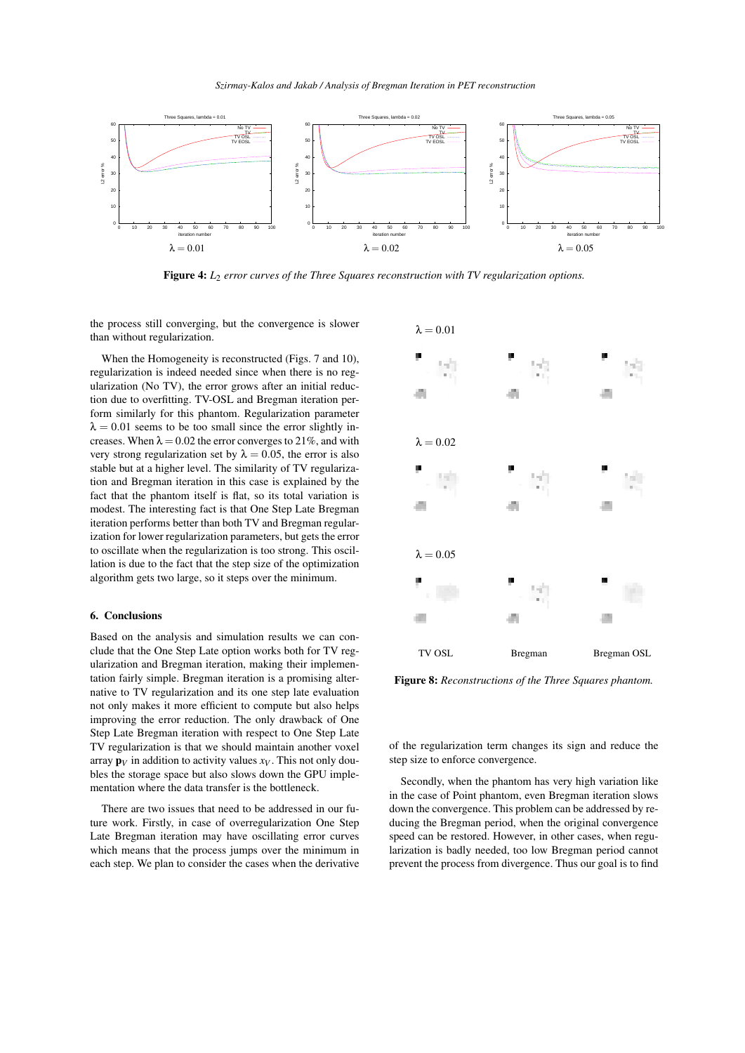

Figure 4: *L*<sup>2</sup> *error curves of the Three Squares reconstruction with TV regularization options.*

the process still converging, but the convergence is slower than without regularization.

When the Homogeneity is reconstructed (Figs. 7 and 10), regularization is indeed needed since when there is no regularization (No TV), the error grows after an initial reduction due to overfitting. TV-OSL and Bregman iteration perform similarly for this phantom. Regularization parameter  $\lambda = 0.01$  seems to be too small since the error slightly increases. When  $\lambda = 0.02$  the error converges to 21%, and with very strong regularization set by  $\lambda = 0.05$ , the error is also stable but at a higher level. The similarity of TV regularization and Bregman iteration in this case is explained by the fact that the phantom itself is flat, so its total variation is modest. The interesting fact is that One Step Late Bregman iteration performs better than both TV and Bregman regularization for lower regularization parameters, but gets the error to oscillate when the regularization is too strong. This oscillation is due to the fact that the step size of the optimization algorithm gets two large, so it steps over the minimum.

#### 6. Conclusions

Based on the analysis and simulation results we can conclude that the One Step Late option works both for TV regularization and Bregman iteration, making their implementation fairly simple. Bregman iteration is a promising alternative to TV regularization and its one step late evaluation not only makes it more efficient to compute but also helps improving the error reduction. The only drawback of One Step Late Bregman iteration with respect to One Step Late TV regularization is that we should maintain another voxel array  $\mathbf{p}_V$  in addition to activity values  $x_V$ . This not only doubles the storage space but also slows down the GPU implementation where the data transfer is the bottleneck.

There are two issues that need to be addressed in our future work. Firstly, in case of overregularization One Step Late Bregman iteration may have oscillating error curves which means that the process jumps over the minimum in each step. We plan to consider the cases when the derivative



Figure 8: *Reconstructions of the Three Squares phantom.*

of the regularization term changes its sign and reduce the step size to enforce convergence.

Secondly, when the phantom has very high variation like in the case of Point phantom, even Bregman iteration slows down the convergence. This problem can be addressed by reducing the Bregman period, when the original convergence speed can be restored. However, in other cases, when regularization is badly needed, too low Bregman period cannot prevent the process from divergence. Thus our goal is to find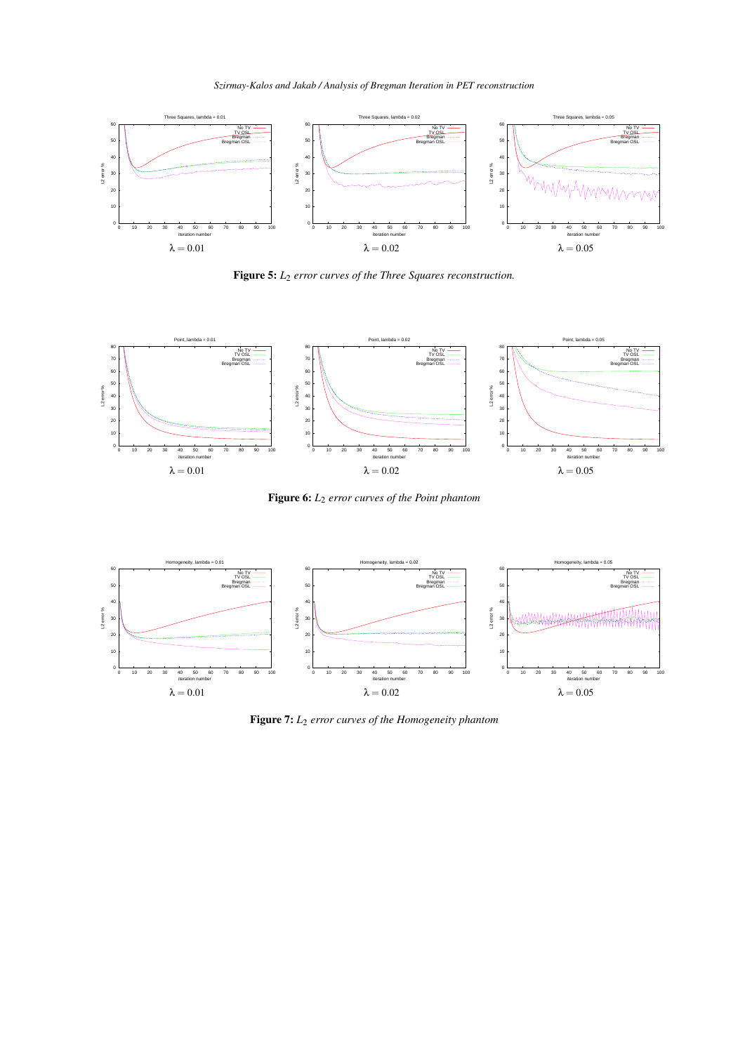*Szirmay-Kalos and Jakab / Analysis of Bregman Iteration in PET reconstruction*



Figure 5: *L*<sup>2</sup> *error curves of the Three Squares reconstruction.*



Figure 6: *L*<sup>2</sup> *error curves of the Point phantom*



Figure 7: *L*<sup>2</sup> *error curves of the Homogeneity phantom*